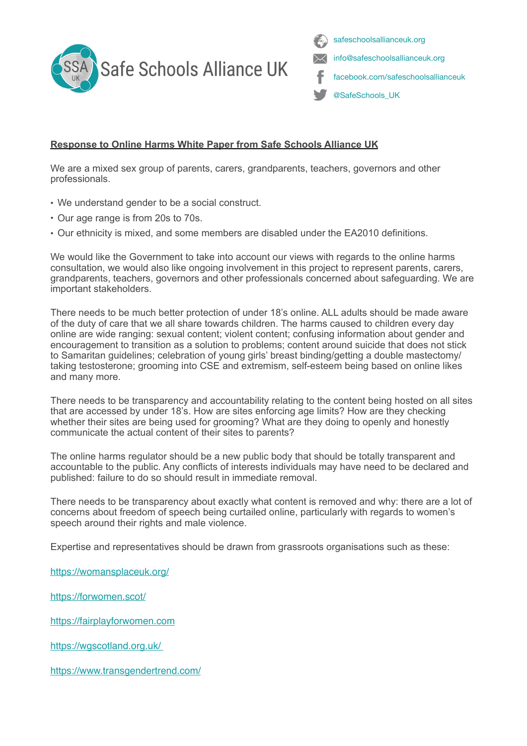

safeschoolsallianceuk.org info@safeschoolsallianceuk.org facebook.com/safeschoolsallianceuk @SafeSchools\_UK

## **Response to Online Harms White Paper from Safe Schools Alliance UK**

We are a mixed sex group of parents, carers, grandparents, teachers, governors and other professionals.

- We understand gender to be a social construct.
- Our age range is from 20s to 70s.
- Our ethnicity is mixed, and some members are disabled under the EA2010 definitions.

We would like the Government to take into account our views with regards to the online harms consultation, we would also like ongoing involvement in this project to represent parents, carers, grandparents, teachers, governors and other professionals concerned about safeguarding. We are important stakeholders.

There needs to be much better protection of under 18's online. ALL adults should be made aware of the duty of care that we all share towards children. The harms caused to children every day online are wide ranging: sexual content; violent content; confusing information about gender and encouragement to transition as a solution to problems; content around suicide that does not stick to Samaritan guidelines; celebration of young girls' breast binding/getting a double mastectomy/ taking testosterone; grooming into CSE and extremism, self-esteem being based on online likes and many more.

There needs to be transparency and accountability relating to the content being hosted on all sites that are accessed by under 18's. How are sites enforcing age limits? How are they checking whether their sites are being used for grooming? What are they doing to openly and honestly communicate the actual content of their sites to parents?

The online harms regulator should be a new public body that should be totally transparent and accountable to the public. Any conflicts of interests individuals may have need to be declared and published: failure to do so should result in immediate removal.

There needs to be transparency about exactly what content is removed and why: there are a lot of concerns about freedom of speech being curtailed online, particularly with regards to women's speech around their rights and male violence.

Expertise and representatives should be drawn from grassroots organisations such as these:

https://womansplaceuk.org/

https://forwomen.scot/

https://fairplayforwomen.com

https://wgscotland.org.uk/

https://www.transgendertrend.com/